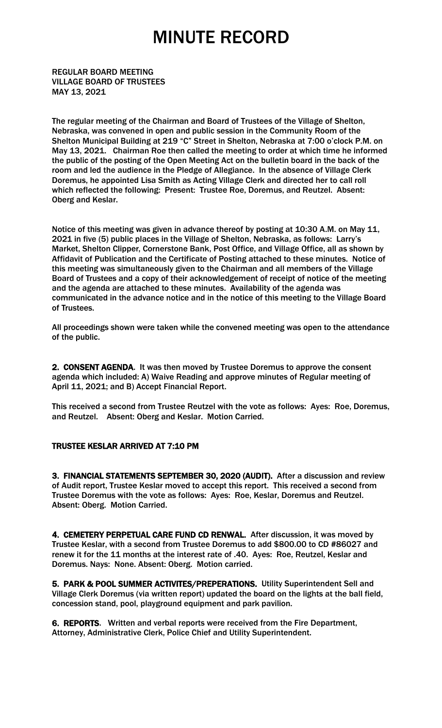REGULAR BOARD MEETING VILLAGE BOARD OF TRUSTEES MAY 13, 2021

The regular meeting of the Chairman and Board of Trustees of the Village of Shelton, Nebraska, was convened in open and public session in the Community Room of the Shelton Municipal Building at 219 "C" Street in Shelton, Nebraska at 7:00 o'clock P.M. on May 13, 2021. Chairman Roe then called the meeting to order at which time he informed the public of the posting of the Open Meeting Act on the bulletin board in the back of the room and led the audience in the Pledge of Allegiance. In the absence of Village Clerk Doremus, he appointed Lisa Smith as Acting Village Clerk and directed her to call roll which reflected the following: Present: Trustee Roe, Doremus, and Reutzel. Absent: Oberg and Keslar.

Notice of this meeting was given in advance thereof by posting at 10:30 A.M. on May 11, 2021 in five (5) public places in the Village of Shelton, Nebraska, as follows: Larry's Market, Shelton Clipper, Cornerstone Bank, Post Office, and Village Office, all as shown by Affidavit of Publication and the Certificate of Posting attached to these minutes. Notice of this meeting was simultaneously given to the Chairman and all members of the Village Board of Trustees and a copy of their acknowledgement of receipt of notice of the meeting and the agenda are attached to these minutes. Availability of the agenda was communicated in the advance notice and in the notice of this meeting to the Village Board of Trustees.

All proceedings shown were taken while the convened meeting was open to the attendance of the public.

2. CONSENT AGENDA. It was then moved by Trustee Doremus to approve the consent agenda which included: A) Waive Reading and approve minutes of Regular meeting of April 11, 2021; and B) Accept Financial Report.

This received a second from Trustee Reutzel with the vote as follows: Ayes: Roe, Doremus, and Reutzel. Absent: Oberg and Keslar. Motion Carried.

#### TRUSTEE KESLAR ARRIVED AT 7:10 PM

3. FINANCIAL STATEMENTS SEPTEMBER 30, 2020 (AUDIT). After a discussion and review of Audit report, Trustee Keslar moved to accept this report. This received a second from Trustee Doremus with the vote as follows: Ayes: Roe, Keslar, Doremus and Reutzel. Absent: Oberg. Motion Carried.

4. CEMETERY PERPETUAL CARE FUND CD RENWAL. After discussion, it was moved by Trustee Keslar, with a second from Trustee Doremus to add \$800.00 to CD #86027 and renew it for the 11 months at the interest rate of .40. Ayes: Roe, Reutzel, Keslar and Doremus. Nays: None. Absent: Oberg. Motion carried.

5. PARK & POOL SUMMER ACTIVITES/PREPERATIONS. Utility Superintendent Sell and Village Clerk Doremus (via written report) updated the board on the lights at the ball field, concession stand, pool, playground equipment and park pavilion.

6. REPORTS. Written and verbal reports were received from the Fire Department, Attorney, Administrative Clerk, Police Chief and Utility Superintendent.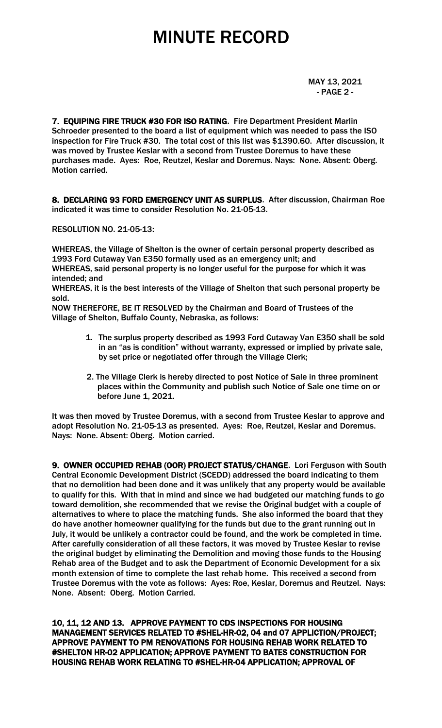MAY 13, 2021 - PAGE 2 -

7. EQUIPING FIRE TRUCK #30 FOR ISO RATING. Fire Department President Marlin Schroeder presented to the board a list of equipment which was needed to pass the ISO inspection for Fire Truck #30. The total cost of this list was \$1390.60. After discussion, it was moved by Trustee Keslar with a second from Trustee Doremus to have these purchases made. Ayes: Roe, Reutzel, Keslar and Doremus. Nays: None. Absent: Oberg. Motion carried.

8. DECLARING 93 FORD EMERGENCY UNIT AS SURPLUS. After discussion, Chairman Roe indicated it was time to consider Resolution No. 21-05-13.

RESOLUTION NO. 21-05-13:

WHEREAS, the Village of Shelton is the owner of certain personal property described as 1993 Ford Cutaway Van E350 formally used as an emergency unit; and WHEREAS, said personal property is no longer useful for the purpose for which it was intended; and

WHEREAS, it is the best interests of the Village of Shelton that such personal property be sold.

NOW THEREFORE, BE IT RESOLVED by the Chairman and Board of Trustees of the Village of Shelton, Buffalo County, Nebraska, as follows:

- 1. The surplus property described as 1993 Ford Cutaway Van E350 shall be sold in an "as is condition" without warranty, expressed or implied by private sale, by set price or negotiated offer through the Village Clerk;
- 2. The Village Clerk is hereby directed to post Notice of Sale in three prominent places within the Community and publish such Notice of Sale one time on or before June 1, 2021.

It was then moved by Trustee Doremus, with a second from Trustee Keslar to approve and adopt Resolution No. 21-05-13 as presented. Ayes: Roe, Reutzel, Keslar and Doremus. Nays: None. Absent: Oberg. Motion carried.

9. OWNER OCCUPIED REHAB (OOR) PROJECT STATUS/CHANGE. Lori Ferguson with South Central Economic Development District (SCEDD) addressed the board indicating to them that no demolition had been done and it was unlikely that any property would be available to qualify for this. With that in mind and since we had budgeted our matching funds to go toward demolition, she recommended that we revise the Original budget with a couple of alternatives to where to place the matching funds. She also informed the board that they do have another homeowner qualifying for the funds but due to the grant running out in July, it would be unlikely a contractor could be found, and the work be completed in time. After carefully consideration of all these factors, it was moved by Trustee Keslar to revise the original budget by eliminating the Demolition and moving those funds to the Housing Rehab area of the Budget and to ask the Department of Economic Development for a six month extension of time to complete the last rehab home. This received a second from Trustee Doremus with the vote as follows: Ayes: Roe, Keslar, Doremus and Reutzel. Nays: None. Absent: Oberg. Motion Carried.

10, 11, 12 AND 13. APPROVE PAYMENT TO CDS INSPECTIONS FOR HOUSING MANAGEMENT SERVICES RELATED TO #SHEL-HR-02, 04 and 07 APPLICTION/PROJECT; APPROVE PAYMENT TO PM RENOVATIONS FOR HOUSING REHAB WORK RELATED TO #SHELTON HR-02 APPLICATION; APPROVE PAYMENT TO BATES CONSTRUCTION FOR HOUSING REHAB WORK RELATING TO #SHEL-HR-04 APPLICATION; APPROVAL OF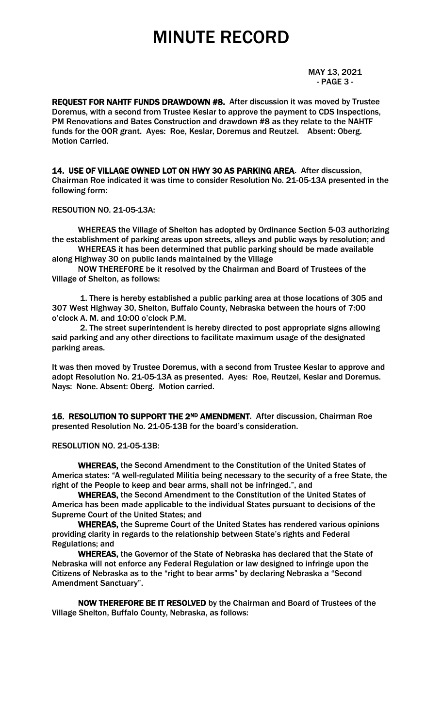MAY 13, 2021 - PAGE 3 -

REQUEST FOR NAHTF FUNDS DRAWDOWN #8. After discussion it was moved by Trustee Doremus, with a second from Trustee Keslar to approve the payment to CDS Inspections, PM Renovations and Bates Construction and drawdown #8 as they relate to the NAHTF funds for the OOR grant. Ayes: Roe, Keslar, Doremus and Reutzel. Absent: Oberg. Motion Carried.

14. USE OF VILLAGE OWNED LOT ON HWY 30 AS PARKING AREA. After discussion, Chairman Roe indicated it was time to consider Resolution No. 21-05-13A presented in the following form:

RESOUTION NO. 21-05-13A:

WHEREAS the Village of Shelton has adopted by Ordinance Section 5-03 authorizing the establishment of parking areas upon streets, alleys and public ways by resolution; and

WHEREAS it has been determined that public parking should be made available along Highway 30 on public lands maintained by the Village

NOW THEREFORE be it resolved by the Chairman and Board of Trustees of the Village of Shelton, as follows:

1. There is hereby established a public parking area at those locations of 305 and 307 West Highway 30, Shelton, Buffalo County, Nebraska between the hours of 7:00 o'clock A. M. and 10:00 o'clock P.M.

2. The street superintendent is hereby directed to post appropriate signs allowing said parking and any other directions to facilitate maximum usage of the designated parking areas.

It was then moved by Trustee Doremus, with a second from Trustee Keslar to approve and adopt Resolution No. 21-05-13A as presented. Ayes: Roe, Reutzel, Keslar and Doremus. Nays: None. Absent: Oberg. Motion carried.

15. RESOLUTION TO SUPPORT THE 2ND AMENDMENT. After discussion, Chairman Roe presented Resolution No. 21-05-13B for the board's consideration.

RESOLUTION NO. 21-05-13B:

 WHEREAS, the Second Amendment to the Constitution of the United States of America states: "A well-regulated Militia being necessary to the security of a free State, the right of the People to keep and bear arms, shall not be infringed.", and

 WHEREAS, the Second Amendment to the Constitution of the United States of America has been made applicable to the individual States pursuant to decisions of the Supreme Court of the United States; and

WHEREAS, the Supreme Court of the United States has rendered various opinions providing clarity in regards to the relationship between State's rights and Federal Regulations; and

WHEREAS, the Governor of the State of Nebraska has declared that the State of Nebraska will not enforce any Federal Regulation or law designed to infringe upon the Citizens of Nebraska as to the "right to bear arms" by declaring Nebraska a "Second Amendment Sanctuary".

NOW THEREFORE BE IT RESOLVED by the Chairman and Board of Trustees of the Village Shelton, Buffalo County, Nebraska, as follows: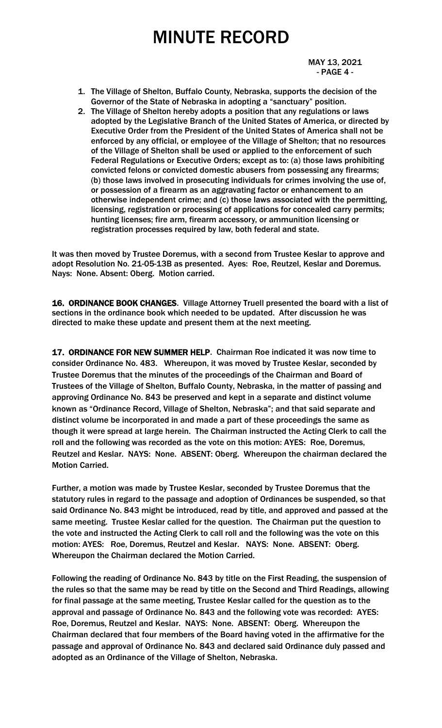MAY 13, 2021 - PAGE 4 -

- 1. The Village of Shelton, Buffalo County, Nebraska, supports the decision of the Governor of the State of Nebraska in adopting a "sanctuary" position.
- 2. The Village of Shelton hereby adopts a position that any regulations or laws adopted by the Legislative Branch of the United States of America, or directed by Executive Order from the President of the United States of America shall not be enforced by any official, or employee of the Village of Shelton; that no resources of the Village of Shelton shall be used or applied to the enforcement of such Federal Regulations or Executive Orders; except as to: (a) those laws prohibiting convicted felons or convicted domestic abusers from possessing any firearms; (b) those laws involved in prosecuting individuals for crimes involving the use of, or possession of a firearm as an aggravating factor or enhancement to an otherwise independent crime; and (c) those laws associated with the permitting, licensing, registration or processing of applications for concealed carry permits; hunting licenses; fire arm, firearm accessory, or ammunition licensing or registration processes required by law, both federal and state.

It was then moved by Trustee Doremus, with a second from Trustee Keslar to approve and adopt Resolution No. 21-05-13B as presented. Ayes: Roe, Reutzel, Keslar and Doremus. Nays: None. Absent: Oberg. Motion carried.

16. ORDINANCE BOOK CHANGES. Village Attorney Truell presented the board with a list of sections in the ordinance book which needed to be updated. After discussion he was directed to make these update and present them at the next meeting.

17. ORDINANCE FOR NEW SUMMER HELP. Chairman Roe indicated it was now time to consider Ordinance No. 483. Whereupon, it was moved by Trustee Keslar, seconded by Trustee Doremus that the minutes of the proceedings of the Chairman and Board of Trustees of the Village of Shelton, Buffalo County, Nebraska, in the matter of passing and approving Ordinance No. 843 be preserved and kept in a separate and distinct volume known as "Ordinance Record, Village of Shelton, Nebraska"; and that said separate and distinct volume be incorporated in and made a part of these proceedings the same as though it were spread at large herein. The Chairman instructed the Acting Clerk to call the roll and the following was recorded as the vote on this motion: AYES: Roe, Doremus, Reutzel and Keslar. NAYS: None. ABSENT: Oberg. Whereupon the chairman declared the Motion Carried.

Further, a motion was made by Trustee Keslar, seconded by Trustee Doremus that the statutory rules in regard to the passage and adoption of Ordinances be suspended, so that said Ordinance No. 843 might be introduced, read by title, and approved and passed at the same meeting. Trustee Keslar called for the question. The Chairman put the question to the vote and instructed the Acting Clerk to call roll and the following was the vote on this motion: AYES: Roe, Doremus, Reutzel and Keslar. NAYS: None. ABSENT: Oberg. Whereupon the Chairman declared the Motion Carried.

Following the reading of Ordinance No. 843 by title on the First Reading, the suspension of the rules so that the same may be read by title on the Second and Third Readings, allowing for final passage at the same meeting, Trustee Keslar called for the question as to the approval and passage of Ordinance No. 843 and the following vote was recorded: AYES: Roe, Doremus, Reutzel and Keslar. NAYS: None. ABSENT: Oberg. Whereupon the Chairman declared that four members of the Board having voted in the affirmative for the passage and approval of Ordinance No. 843 and declared said Ordinance duly passed and adopted as an Ordinance of the Village of Shelton, Nebraska.